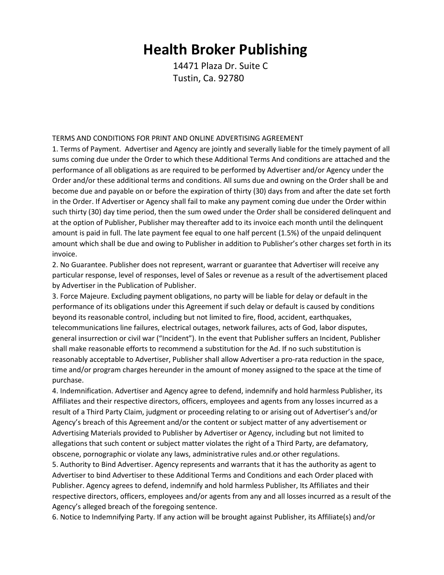## **Health Broker Publishing**

14471 Plaza Dr. Suite C Tustin, Ca. 92780

## TERMS AND CONDITIONS FOR PRINT AND ONLINE ADVERTISING AGREEMENT

1. Terms of Payment. Advertiser and Agency are jointly and severally liable for the timely payment of all sums coming due under the Order to which these Additional Terms And conditions are attached and the performance of all obligations as are required to be performed by Advertiser and/or Agency under the Order and/or these additional terms and conditions. All sums due and owning on the Order shall be and become due and payable on or before the expiration of thirty (30) days from and after the date set forth in the Order. If Advertiser or Agency shall fail to make any payment coming due under the Order within such thirty (30) day time period, then the sum owed under the Order shall be considered delinquent and at the option of Publisher, Publisher may thereafter add to its invoice each month until the delinquent amount is paid in full. The late payment fee equal to one half percent (1.5%) of the unpaid delinquent amount which shall be due and owing to Publisher in addition to Publisher's other charges set forth in its invoice.

2. No Guarantee. Publisher does not represent, warrant or guarantee that Advertiser will receive any particular response, level of responses, level of Sales or revenue as a result of the advertisement placed by Advertiser in the Publication of Publisher.

3. Force Majeure. Excluding payment obligations, no party will be liable for delay or default in the performance of its obligations under this Agreement if such delay or default is caused by conditions beyond its reasonable control, including but not limited to fire, flood, accident, earthquakes, telecommunications line failures, electrical outages, network failures, acts of God, labor disputes, general insurrection or civil war ("Incident"). In the event that Publisher suffers an Incident, Publisher shall make reasonable efforts to recommend a substitution for the Ad. If no such substitution is reasonably acceptable to Advertiser, Publisher shall allow Advertiser a pro-rata reduction in the space, time and/or program charges hereunder in the amount of money assigned to the space at the time of purchase.

4. Indemnification. Advertiser and Agency agree to defend, indemnify and hold harmless Publisher, its Affiliates and their respective directors, officers, employees and agents from any losses incurred as a result of a Third Party Claim, judgment or proceeding relating to or arising out of Advertiser's and/or Agency's breach of this Agreement and/or the content or subject matter of any advertisement or Advertising Materials provided to Publisher by Advertiser or Agency, including but not limited to allegations that such content or subject matter violates the right of a Third Party, are defamatory, obscene, pornographic or violate any laws, administrative rules and.or other regulations.

5. Authority to Bind Advertiser. Agency represents and warrants that it has the authority as agent to Advertiser to bind Advertiser to these Additional Terms and Conditions and each Order placed with Publisher. Agency agrees to defend, indemnify and hold harmless Publisher, Its Affiliates and their respective directors, officers, employees and/or agents from any and all losses incurred as a result of the Agency's alleged breach of the foregoing sentence.

6. Notice to Indemnifying Party. If any action will be brought against Publisher, its Affiliate(s) and/or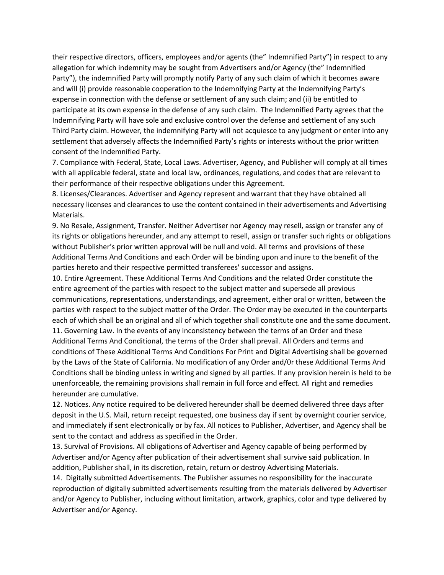their respective directors, officers, employees and/or agents (the" Indemnified Party") in respect to any allegation for which indemnity may be sought from Advertisers and/or Agency (the" Indemnified Party"), the indemnified Party will promptly notify Party of any such claim of which it becomes aware and will (i) provide reasonable cooperation to the Indemnifying Party at the Indemnifying Party's expense in connection with the defense or settlement of any such claim; and (ii) be entitled to participate at its own expense in the defense of any such claim. The Indemnified Party agrees that the Indemnifying Party will have sole and exclusive control over the defense and settlement of any such Third Party claim. However, the indemnifying Party will not acquiesce to any judgment or enter into any settlement that adversely affects the Indemnified Party's rights or interests without the prior written consent of the Indemnified Party.

7. Compliance with Federal, State, Local Laws. Advertiser, Agency, and Publisher will comply at all times with all applicable federal, state and local law, ordinances, regulations, and codes that are relevant to their performance of their respective obligations under this Agreement.

8. Licenses/Clearances. Advertiser and Agency represent and warrant that they have obtained all necessary licenses and clearances to use the content contained in their advertisements and Advertising Materials.

9. No Resale, Assignment, Transfer. Neither Advertiser nor Agency may resell, assign or transfer any of its rights or obligations hereunder, and any attempt to resell, assign or transfer such rights or obligations without Publisher's prior written approval will be null and void. All terms and provisions of these Additional Terms And Conditions and each Order will be binding upon and inure to the benefit of the parties hereto and their respective permitted transferees' successor and assigns.

10. Entire Agreement. These Additional Terms And Conditions and the related Order constitute the entire agreement of the parties with respect to the subject matter and supersede all previous communications, representations, understandings, and agreement, either oral or written, between the parties with respect to the subject matter of the Order. The Order may be executed in the counterparts each of which shall be an original and all of which together shall constitute one and the same document. 11. Governing Law. In the events of any inconsistency between the terms of an Order and these Additional Terms And Conditional, the terms of the Order shall prevail. All Orders and terms and conditions of These Additional Terms And Conditions For Print and Digital Advertising shall be governed by the Laws of the State of California. No modification of any Order and/0r these Additional Terms And Conditions shall be binding unless in writing and signed by all parties. If any provision herein is held to be unenforceable, the remaining provisions shall remain in full force and effect. All right and remedies hereunder are cumulative.

12. Notices. Any notice required to be delivered hereunder shall be deemed delivered three days after deposit in the U.S. Mail, return receipt requested, one business day if sent by overnight courier service, and immediately if sent electronically or by fax. All notices to Publisher, Advertiser, and Agency shall be sent to the contact and address as specified in the Order.

13. Survival of Provisions. All obligations of Advertiser and Agency capable of being performed by Advertiser and/or Agency after publication of their advertisement shall survive said publication. In addition, Publisher shall, in its discretion, retain, return or destroy Advertising Materials.

14. Digitally submitted Advertisements. The Publisher assumes no responsibility for the inaccurate reproduction of digitally submitted advertisements resulting from the materials delivered by Advertiser and/or Agency to Publisher, including without limitation, artwork, graphics, color and type delivered by Advertiser and/or Agency.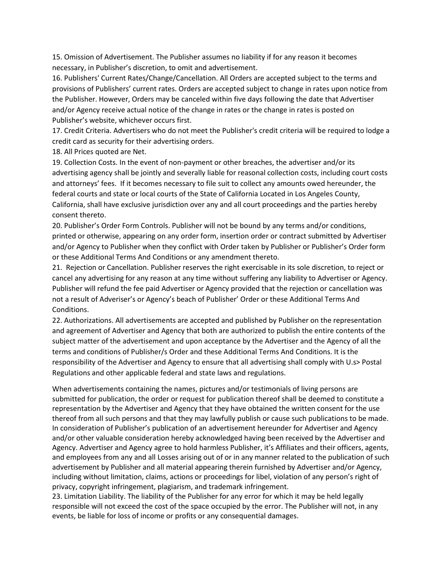15. Omission of Advertisement. The Publisher assumes no liability if for any reason it becomes necessary, in Publisher's discretion, to omit and advertisement.

16. Publishers' Current Rates/Change/Cancellation. All Orders are accepted subject to the terms and provisions of Publishers' current rates. Orders are accepted subject to change in rates upon notice from the Publisher. However, Orders may be canceled within five days following the date that Advertiser and/or Agency receive actual notice of the change in rates or the change in rates is posted on Publisher's website, whichever occurs first.

17. Credit Criteria. Advertisers who do not meet the Publisher's credit criteria will be required to lodge a credit card as security for their advertising orders.

18. All Prices quoted are Net.

19. Collection Costs. In the event of non-payment or other breaches, the advertiser and/or its advertising agency shall be jointly and severally liable for reasonal collection costs, including court costs and attorneys' fees. If it becomes necessary to file suit to collect any amounts owed hereunder, the federal courts and state or local courts of the State of California Located in Los Angeles County, California, shall have exclusive jurisdiction over any and all court proceedings and the parties hereby consent thereto.

20. Publisher's Order Form Controls. Publisher will not be bound by any terms and/or conditions, printed or otherwise, appearing on any order form, insertion order or contract submitted by Advertiser and/or Agency to Publisher when they conflict with Order taken by Publisher or Publisher's Order form or these Additional Terms And Conditions or any amendment thereto.

21. Rejection or Cancellation. Publisher reserves the right exercisable in its sole discretion, to reject or cancel any advertising for any reason at any time without suffering any liability to Advertiser or Agency. Publisher will refund the fee paid Advertiser or Agency provided that the rejection or cancellation was not a result of Adveriser's or Agency's beach of Publisher' Order or these Additional Terms And Conditions.

22. Authorizations. All advertisements are accepted and published by Publisher on the representation and agreement of Advertiser and Agency that both are authorized to publish the entire contents of the subject matter of the advertisement and upon acceptance by the Advertiser and the Agency of all the terms and conditions of Publisher/s Order and these Additional Terms And Conditions. It is the responsibility of the Advertiser and Agency to ensure that all advertising shall comply with U.s> Postal Regulations and other applicable federal and state laws and regulations.

When advertisements containing the names, pictures and/or testimonials of living persons are submitted for publication, the order or request for publication thereof shall be deemed to constitute a representation by the Advertiser and Agency that they have obtained the written consent for the use thereof from all such persons and that they may lawfully publish or cause such publications to be made. In consideration of Publisher's publication of an advertisement hereunder for Advertiser and Agency and/or other valuable consideration hereby acknowledged having been received by the Advertiser and Agency. Advertiser and Agency agree to hold harmless Publisher, it's Affiliates and their officers, agents, and employees from any and all Losses arising out of or in any manner related to the publication of such advertisement by Publisher and all material appearing therein furnished by Advertiser and/or Agency, including without limitation, claims, actions or proceedings for libel, violation of any person's right of privacy, copyright infringement, plagiarism, and trademark infringement.

23. Limitation Liability. The liability of the Publisher for any error for which it may be held legally responsible will not exceed the cost of the space occupied by the error. The Publisher will not, in any events, be liable for loss of income or profits or any consequential damages.